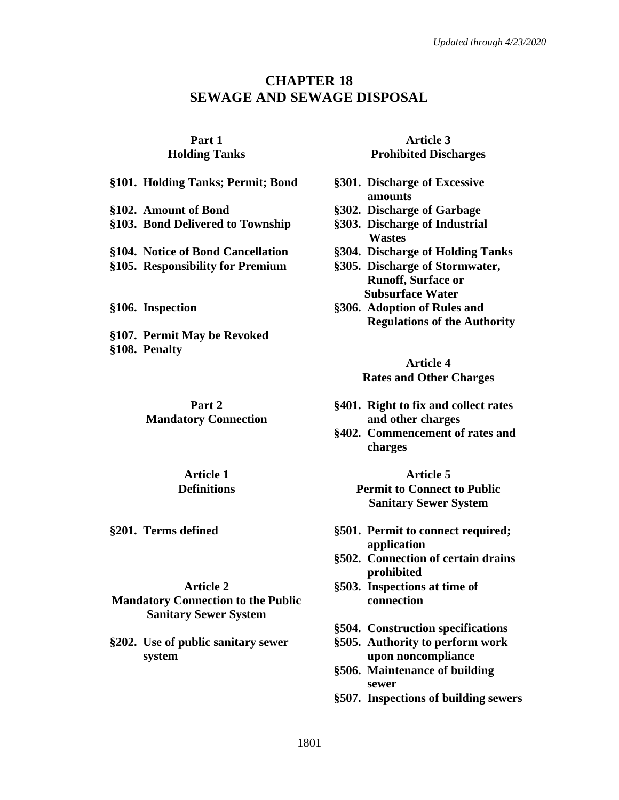## **CHAPTER 18 SEWAGE AND SEWAGE DISPOSAL**

## **Part 1 Holding Tanks**

**§101. Holding Tanks; Permit; Bond §301. Discharge of Excessive**

**§103. Bond Delivered to Township §303. Discharge of Industrial** 

- **§104. Notice of Bond Cancellation §304. Discharge of Holding Tanks**
- **§105. Responsibility for Premium §305. Discharge of Stormwater,**

**§107. Permit May be Revoked §108. Penalty**

> **Part 2 Mandatory Connection**

> > **Article 1 Definitions**

#### **Article 2**

**Mandatory Connection to the Public Sanitary Sewer System**

**§202. Use of public sanitary sewer system**

### **Article 3 Prohibited Discharges**

- **amounts**
- **§102. Amount of Bond §302. Discharge of Garbage**
	- **Wastes**
	-
	- **Runoff, Surface or Subsurface Water**
- **§106. Inspection §306. Adoption of Rules and Regulations of the Authority**

### **Article 4 Rates and Other Charges**

- **§401. Right to fix and collect rates and other charges**
- **§402. Commencement of rates and charges**

**Article 5 Permit to Connect to Public Sanitary Sewer System**

- **§201. Terms defined §501. Permit to connect required; application**
	- **§502. Connection of certain drains prohibited**
	- **§503. Inspections at time of connection**
	- **§504. Construction specifications**
	- **§505. Authority to perform work upon noncompliance**
	- **§506. Maintenance of building sewer**
	- **§507. Inspections of building sewers**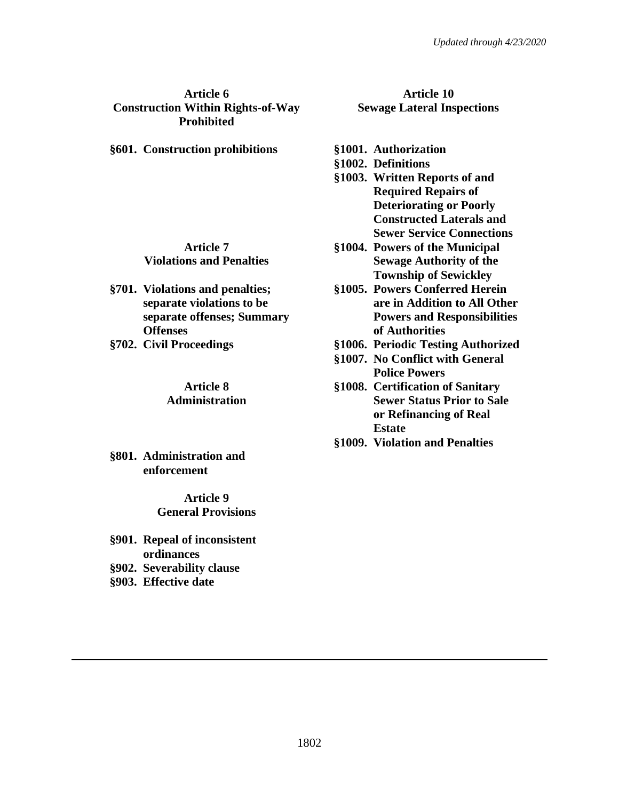### **Article 6 Construction Within Rights-of-Way Prohibited**

**§601. Construction prohibitions §1001. Authorization**

#### **Article 7 Violations and Penalties**

- **§701. Violations and penalties; separate violations to be separate offenses; Summary Offenses**
- 

### **Article 8 Administration**

**§801. Administration and enforcement**

> **Article 9 General Provisions**

- **§901. Repeal of inconsistent ordinances**
- **§902. Severability clause**
- **§903. Effective date**

# **Article 10 Sewage Lateral Inspections**

- 
- **§1002. Definitions**
- **§1003. Written Reports of and Required Repairs of Deteriorating or Poorly Constructed Laterals and Sewer Service Connections**
- **§1004. Powers of the Municipal Sewage Authority of the Township of Sewickley**
- **§1005. Powers Conferred Herein are in Addition to All Other Powers and Responsibilities of Authorities**
- **§702. Civil Proceedings §1006. Periodic Testing Authorized**
	- **§1007. No Conflict with General Police Powers**
	- **§1008. Certification of Sanitary Sewer Status Prior to Sale or Refinancing of Real Estate**
	- **§1009. Violation and Penalties**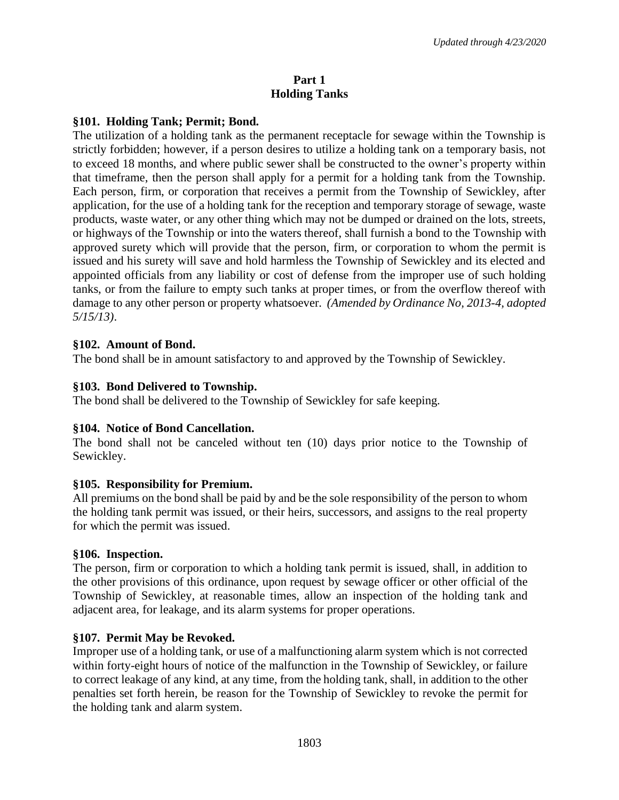### **Part 1 Holding Tanks**

### **§101. Holding Tank; Permit; Bond.**

The utilization of a holding tank as the permanent receptacle for sewage within the Township is strictly forbidden; however, if a person desires to utilize a holding tank on a temporary basis, not to exceed 18 months, and where public sewer shall be constructed to the owner's property within that timeframe, then the person shall apply for a permit for a holding tank from the Township. Each person, firm, or corporation that receives a permit from the Township of Sewickley, after application, for the use of a holding tank for the reception and temporary storage of sewage, waste products, waste water, or any other thing which may not be dumped or drained on the lots, streets, or highways of the Township or into the waters thereof, shall furnish a bond to the Township with approved surety which will provide that the person, firm, or corporation to whom the permit is issued and his surety will save and hold harmless the Township of Sewickley and its elected and appointed officials from any liability or cost of defense from the improper use of such holding tanks, or from the failure to empty such tanks at proper times, or from the overflow thereof with damage to any other person or property whatsoever. *(Amended by Ordinance No, 2013-4, adopted 5/15/13)*.

### **§102. Amount of Bond.**

The bond shall be in amount satisfactory to and approved by the Township of Sewickley.

### **§103. Bond Delivered to Township.**

The bond shall be delivered to the Township of Sewickley for safe keeping.

### **§104. Notice of Bond Cancellation.**

The bond shall not be canceled without ten (10) days prior notice to the Township of Sewickley.

### **§105. Responsibility for Premium.**

All premiums on the bond shall be paid by and be the sole responsibility of the person to whom the holding tank permit was issued, or their heirs, successors, and assigns to the real property for which the permit was issued.

### **§106. Inspection.**

The person, firm or corporation to which a holding tank permit is issued, shall, in addition to the other provisions of this ordinance, upon request by sewage officer or other official of the Township of Sewickley, at reasonable times, allow an inspection of the holding tank and adjacent area, for leakage, and its alarm systems for proper operations.

### **§107. Permit May be Revoked.**

Improper use of a holding tank, or use of a malfunctioning alarm system which is not corrected within forty-eight hours of notice of the malfunction in the Township of Sewickley, or failure to correct leakage of any kind, at any time, from the holding tank, shall, in addition to the other penalties set forth herein, be reason for the Township of Sewickley to revoke the permit for the holding tank and alarm system.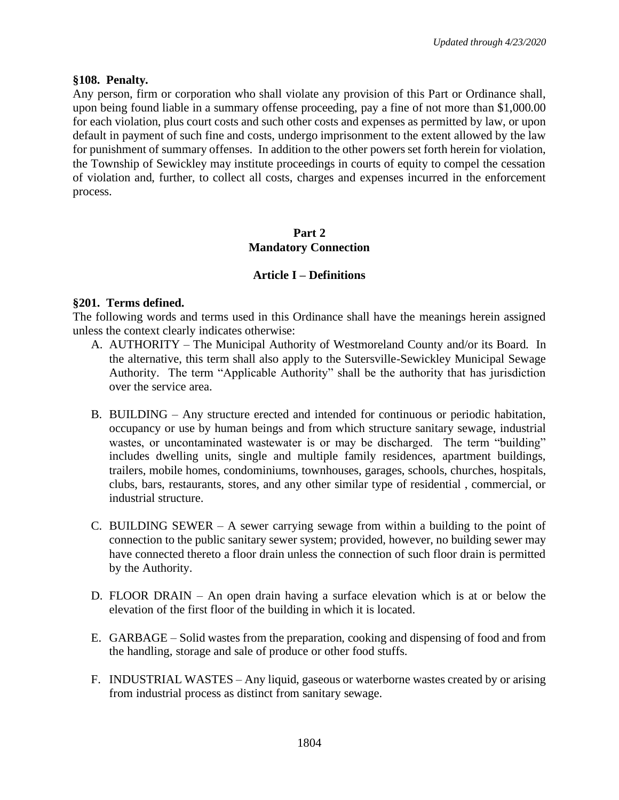### **§108. Penalty.**

Any person, firm or corporation who shall violate any provision of this Part or Ordinance shall, upon being found liable in a summary offense proceeding, pay a fine of not more than \$1,000.00 for each violation, plus court costs and such other costs and expenses as permitted by law, or upon default in payment of such fine and costs, undergo imprisonment to the extent allowed by the law for punishment of summary offenses. In addition to the other powers set forth herein for violation, the Township of Sewickley may institute proceedings in courts of equity to compel the cessation of violation and, further, to collect all costs, charges and expenses incurred in the enforcement process.

## **Part 2 Mandatory Connection**

### **Article I – Definitions**

### **§201. Terms defined.**

The following words and terms used in this Ordinance shall have the meanings herein assigned unless the context clearly indicates otherwise:

- A. AUTHORITY The Municipal Authority of Westmoreland County and/or its Board. In the alternative, this term shall also apply to the Sutersville-Sewickley Municipal Sewage Authority. The term "Applicable Authority" shall be the authority that has jurisdiction over the service area.
- B. BUILDING Any structure erected and intended for continuous or periodic habitation, occupancy or use by human beings and from which structure sanitary sewage, industrial wastes, or uncontaminated wastewater is or may be discharged. The term "building" includes dwelling units, single and multiple family residences, apartment buildings, trailers, mobile homes, condominiums, townhouses, garages, schools, churches, hospitals, clubs, bars, restaurants, stores, and any other similar type of residential , commercial, or industrial structure.
- C. BUILDING SEWER A sewer carrying sewage from within a building to the point of connection to the public sanitary sewer system; provided, however, no building sewer may have connected thereto a floor drain unless the connection of such floor drain is permitted by the Authority.
- D. FLOOR DRAIN An open drain having a surface elevation which is at or below the elevation of the first floor of the building in which it is located.
- E. GARBAGE Solid wastes from the preparation, cooking and dispensing of food and from the handling, storage and sale of produce or other food stuffs.
- F. INDUSTRIAL WASTES Any liquid, gaseous or waterborne wastes created by or arising from industrial process as distinct from sanitary sewage.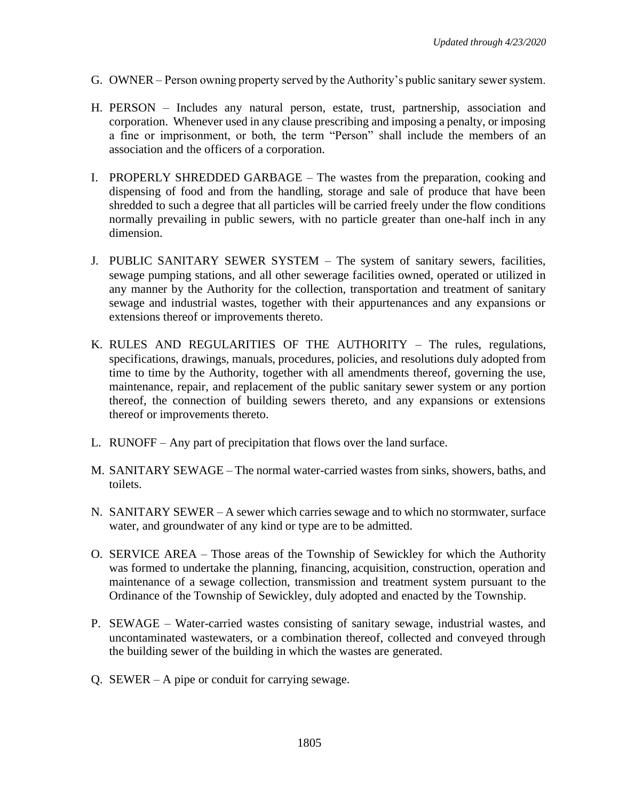- G. OWNER Person owning property served by the Authority's public sanitary sewer system.
- H. PERSON Includes any natural person, estate, trust, partnership, association and corporation. Whenever used in any clause prescribing and imposing a penalty, or imposing a fine or imprisonment, or both, the term "Person" shall include the members of an association and the officers of a corporation.
- I. PROPERLY SHREDDED GARBAGE The wastes from the preparation, cooking and dispensing of food and from the handling, storage and sale of produce that have been shredded to such a degree that all particles will be carried freely under the flow conditions normally prevailing in public sewers, with no particle greater than one-half inch in any dimension.
- J. PUBLIC SANITARY SEWER SYSTEM The system of sanitary sewers, facilities, sewage pumping stations, and all other sewerage facilities owned, operated or utilized in any manner by the Authority for the collection, transportation and treatment of sanitary sewage and industrial wastes, together with their appurtenances and any expansions or extensions thereof or improvements thereto.
- K. RULES AND REGULARITIES OF THE AUTHORITY The rules, regulations, specifications, drawings, manuals, procedures, policies, and resolutions duly adopted from time to time by the Authority, together with all amendments thereof, governing the use, maintenance, repair, and replacement of the public sanitary sewer system or any portion thereof, the connection of building sewers thereto, and any expansions or extensions thereof or improvements thereto.
- L. RUNOFF Any part of precipitation that flows over the land surface.
- M. SANITARY SEWAGE The normal water-carried wastes from sinks, showers, baths, and toilets.
- N. SANITARY SEWER A sewer which carries sewage and to which no stormwater, surface water, and groundwater of any kind or type are to be admitted.
- O. SERVICE AREA Those areas of the Township of Sewickley for which the Authority was formed to undertake the planning, financing, acquisition, construction, operation and maintenance of a sewage collection, transmission and treatment system pursuant to the Ordinance of the Township of Sewickley, duly adopted and enacted by the Township.
- P. SEWAGE Water-carried wastes consisting of sanitary sewage, industrial wastes, and uncontaminated wastewaters, or a combination thereof, collected and conveyed through the building sewer of the building in which the wastes are generated.
- Q. SEWER A pipe or conduit for carrying sewage.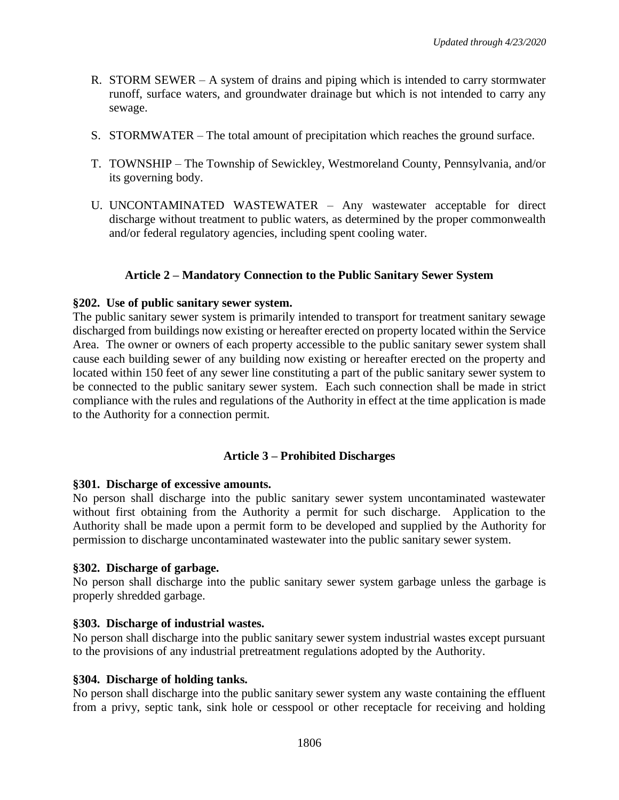- R. STORM SEWER A system of drains and piping which is intended to carry stormwater runoff, surface waters, and groundwater drainage but which is not intended to carry any sewage.
- S. STORMWATER The total amount of precipitation which reaches the ground surface.
- T. TOWNSHIP The Township of Sewickley, Westmoreland County, Pennsylvania, and/or its governing body.
- U. UNCONTAMINATED WASTEWATER Any wastewater acceptable for direct discharge without treatment to public waters, as determined by the proper commonwealth and/or federal regulatory agencies, including spent cooling water.

## **Article 2 – Mandatory Connection to the Public Sanitary Sewer System**

### **§202. Use of public sanitary sewer system.**

The public sanitary sewer system is primarily intended to transport for treatment sanitary sewage discharged from buildings now existing or hereafter erected on property located within the Service Area. The owner or owners of each property accessible to the public sanitary sewer system shall cause each building sewer of any building now existing or hereafter erected on the property and located within 150 feet of any sewer line constituting a part of the public sanitary sewer system to be connected to the public sanitary sewer system. Each such connection shall be made in strict compliance with the rules and regulations of the Authority in effect at the time application is made to the Authority for a connection permit.

## **Article 3 – Prohibited Discharges**

### **§301. Discharge of excessive amounts.**

No person shall discharge into the public sanitary sewer system uncontaminated wastewater without first obtaining from the Authority a permit for such discharge. Application to the Authority shall be made upon a permit form to be developed and supplied by the Authority for permission to discharge uncontaminated wastewater into the public sanitary sewer system.

### **§302. Discharge of garbage.**

No person shall discharge into the public sanitary sewer system garbage unless the garbage is properly shredded garbage.

### **§303. Discharge of industrial wastes.**

No person shall discharge into the public sanitary sewer system industrial wastes except pursuant to the provisions of any industrial pretreatment regulations adopted by the Authority.

### **§304. Discharge of holding tanks.**

No person shall discharge into the public sanitary sewer system any waste containing the effluent from a privy, septic tank, sink hole or cesspool or other receptacle for receiving and holding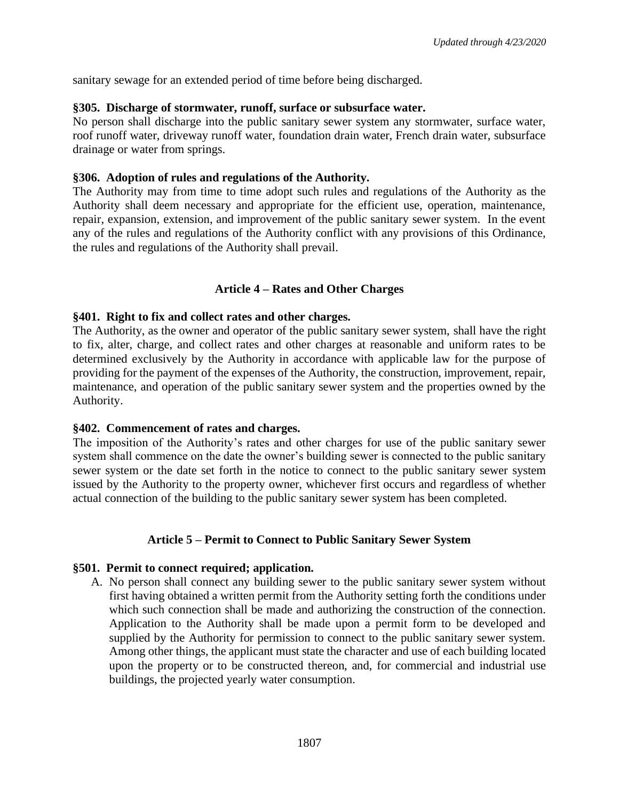sanitary sewage for an extended period of time before being discharged.

### **§305. Discharge of stormwater, runoff, surface or subsurface water.**

No person shall discharge into the public sanitary sewer system any stormwater, surface water, roof runoff water, driveway runoff water, foundation drain water, French drain water, subsurface drainage or water from springs.

### **§306. Adoption of rules and regulations of the Authority.**

The Authority may from time to time adopt such rules and regulations of the Authority as the Authority shall deem necessary and appropriate for the efficient use, operation, maintenance, repair, expansion, extension, and improvement of the public sanitary sewer system. In the event any of the rules and regulations of the Authority conflict with any provisions of this Ordinance, the rules and regulations of the Authority shall prevail.

### **Article 4 – Rates and Other Charges**

### **§401. Right to fix and collect rates and other charges.**

The Authority, as the owner and operator of the public sanitary sewer system, shall have the right to fix, alter, charge, and collect rates and other charges at reasonable and uniform rates to be determined exclusively by the Authority in accordance with applicable law for the purpose of providing for the payment of the expenses of the Authority, the construction, improvement, repair, maintenance, and operation of the public sanitary sewer system and the properties owned by the Authority.

### **§402. Commencement of rates and charges.**

The imposition of the Authority's rates and other charges for use of the public sanitary sewer system shall commence on the date the owner's building sewer is connected to the public sanitary sewer system or the date set forth in the notice to connect to the public sanitary sewer system issued by the Authority to the property owner, whichever first occurs and regardless of whether actual connection of the building to the public sanitary sewer system has been completed.

### **Article 5 – Permit to Connect to Public Sanitary Sewer System**

#### **§501. Permit to connect required; application.**

A. No person shall connect any building sewer to the public sanitary sewer system without first having obtained a written permit from the Authority setting forth the conditions under which such connection shall be made and authorizing the construction of the connection. Application to the Authority shall be made upon a permit form to be developed and supplied by the Authority for permission to connect to the public sanitary sewer system. Among other things, the applicant must state the character and use of each building located upon the property or to be constructed thereon, and, for commercial and industrial use buildings, the projected yearly water consumption.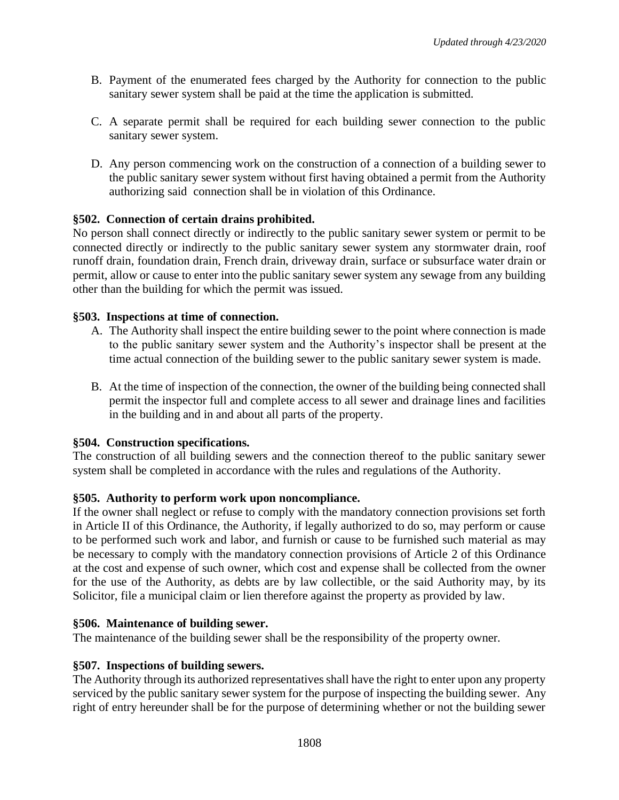- B. Payment of the enumerated fees charged by the Authority for connection to the public sanitary sewer system shall be paid at the time the application is submitted.
- C. A separate permit shall be required for each building sewer connection to the public sanitary sewer system.
- D. Any person commencing work on the construction of a connection of a building sewer to the public sanitary sewer system without first having obtained a permit from the Authority authorizing said connection shall be in violation of this Ordinance.

## **§502. Connection of certain drains prohibited.**

No person shall connect directly or indirectly to the public sanitary sewer system or permit to be connected directly or indirectly to the public sanitary sewer system any stormwater drain, roof runoff drain, foundation drain, French drain, driveway drain, surface or subsurface water drain or permit, allow or cause to enter into the public sanitary sewer system any sewage from any building other than the building for which the permit was issued.

### **§503. Inspections at time of connection.**

- A. The Authority shall inspect the entire building sewer to the point where connection is made to the public sanitary sewer system and the Authority's inspector shall be present at the time actual connection of the building sewer to the public sanitary sewer system is made.
- B. At the time of inspection of the connection, the owner of the building being connected shall permit the inspector full and complete access to all sewer and drainage lines and facilities in the building and in and about all parts of the property.

## **§504. Construction specifications.**

The construction of all building sewers and the connection thereof to the public sanitary sewer system shall be completed in accordance with the rules and regulations of the Authority.

### **§505. Authority to perform work upon noncompliance.**

If the owner shall neglect or refuse to comply with the mandatory connection provisions set forth in Article II of this Ordinance, the Authority, if legally authorized to do so, may perform or cause to be performed such work and labor, and furnish or cause to be furnished such material as may be necessary to comply with the mandatory connection provisions of Article 2 of this Ordinance at the cost and expense of such owner, which cost and expense shall be collected from the owner for the use of the Authority, as debts are by law collectible, or the said Authority may, by its Solicitor, file a municipal claim or lien therefore against the property as provided by law.

### **§506. Maintenance of building sewer.**

The maintenance of the building sewer shall be the responsibility of the property owner.

### **§507. Inspections of building sewers.**

The Authority through its authorized representatives shall have the right to enter upon any property serviced by the public sanitary sewer system for the purpose of inspecting the building sewer. Any right of entry hereunder shall be for the purpose of determining whether or not the building sewer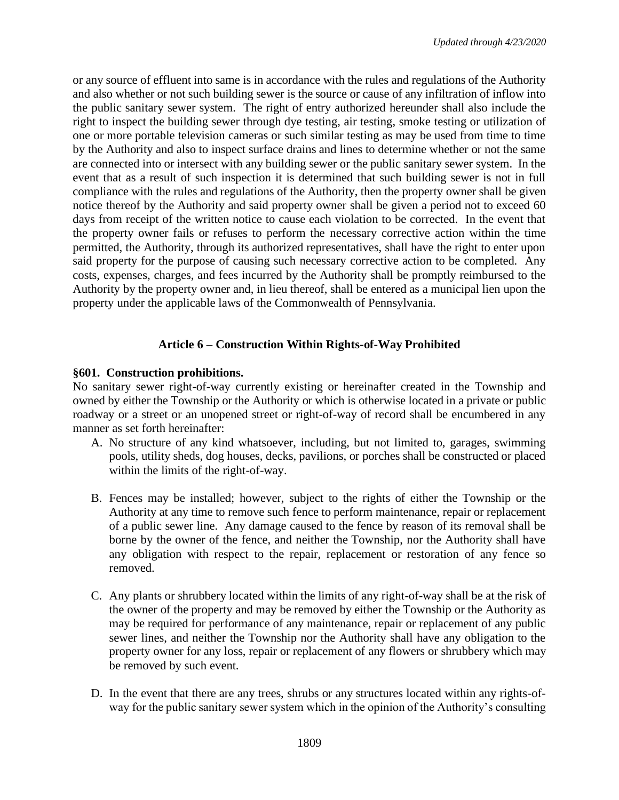or any source of effluent into same is in accordance with the rules and regulations of the Authority and also whether or not such building sewer is the source or cause of any infiltration of inflow into the public sanitary sewer system. The right of entry authorized hereunder shall also include the right to inspect the building sewer through dye testing, air testing, smoke testing or utilization of one or more portable television cameras or such similar testing as may be used from time to time by the Authority and also to inspect surface drains and lines to determine whether or not the same are connected into or intersect with any building sewer or the public sanitary sewer system. In the event that as a result of such inspection it is determined that such building sewer is not in full compliance with the rules and regulations of the Authority, then the property owner shall be given notice thereof by the Authority and said property owner shall be given a period not to exceed 60 days from receipt of the written notice to cause each violation to be corrected. In the event that the property owner fails or refuses to perform the necessary corrective action within the time permitted, the Authority, through its authorized representatives, shall have the right to enter upon said property for the purpose of causing such necessary corrective action to be completed. Any costs, expenses, charges, and fees incurred by the Authority shall be promptly reimbursed to the Authority by the property owner and, in lieu thereof, shall be entered as a municipal lien upon the property under the applicable laws of the Commonwealth of Pennsylvania.

# **Article 6 – Construction Within Rights-of-Way Prohibited**

## **§601. Construction prohibitions.**

No sanitary sewer right-of-way currently existing or hereinafter created in the Township and owned by either the Township or the Authority or which is otherwise located in a private or public roadway or a street or an unopened street or right-of-way of record shall be encumbered in any manner as set forth hereinafter:

- A. No structure of any kind whatsoever, including, but not limited to, garages, swimming pools, utility sheds, dog houses, decks, pavilions, or porches shall be constructed or placed within the limits of the right-of-way.
- B. Fences may be installed; however, subject to the rights of either the Township or the Authority at any time to remove such fence to perform maintenance, repair or replacement of a public sewer line. Any damage caused to the fence by reason of its removal shall be borne by the owner of the fence, and neither the Township, nor the Authority shall have any obligation with respect to the repair, replacement or restoration of any fence so removed.
- C. Any plants or shrubbery located within the limits of any right-of-way shall be at the risk of the owner of the property and may be removed by either the Township or the Authority as may be required for performance of any maintenance, repair or replacement of any public sewer lines, and neither the Township nor the Authority shall have any obligation to the property owner for any loss, repair or replacement of any flowers or shrubbery which may be removed by such event.
- D. In the event that there are any trees, shrubs or any structures located within any rights-ofway for the public sanitary sewer system which in the opinion of the Authority's consulting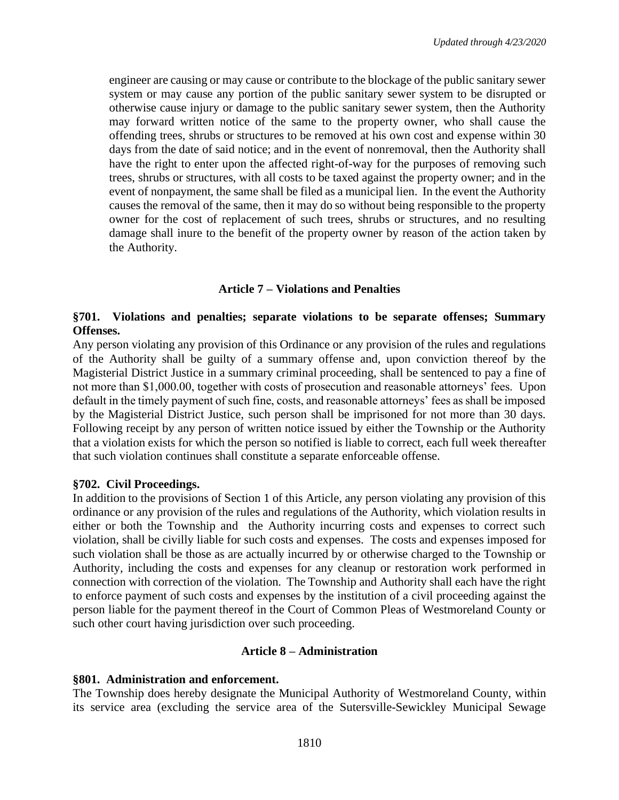engineer are causing or may cause or contribute to the blockage of the public sanitary sewer system or may cause any portion of the public sanitary sewer system to be disrupted or otherwise cause injury or damage to the public sanitary sewer system, then the Authority may forward written notice of the same to the property owner, who shall cause the offending trees, shrubs or structures to be removed at his own cost and expense within 30 days from the date of said notice; and in the event of nonremoval, then the Authority shall have the right to enter upon the affected right-of-way for the purposes of removing such trees, shrubs or structures, with all costs to be taxed against the property owner; and in the event of nonpayment, the same shall be filed as a municipal lien. In the event the Authority causes the removal of the same, then it may do so without being responsible to the property owner for the cost of replacement of such trees, shrubs or structures, and no resulting damage shall inure to the benefit of the property owner by reason of the action taken by the Authority.

### **Article 7 – Violations and Penalties**

## **§701. Violations and penalties; separate violations to be separate offenses; Summary Offenses.**

Any person violating any provision of this Ordinance or any provision of the rules and regulations of the Authority shall be guilty of a summary offense and, upon conviction thereof by the Magisterial District Justice in a summary criminal proceeding, shall be sentenced to pay a fine of not more than \$1,000.00, together with costs of prosecution and reasonable attorneys' fees. Upon default in the timely payment of such fine, costs, and reasonable attorneys' fees as shall be imposed by the Magisterial District Justice, such person shall be imprisoned for not more than 30 days. Following receipt by any person of written notice issued by either the Township or the Authority that a violation exists for which the person so notified is liable to correct, each full week thereafter that such violation continues shall constitute a separate enforceable offense.

### **§702. Civil Proceedings.**

In addition to the provisions of Section 1 of this Article, any person violating any provision of this ordinance or any provision of the rules and regulations of the Authority, which violation results in either or both the Township and the Authority incurring costs and expenses to correct such violation, shall be civilly liable for such costs and expenses. The costs and expenses imposed for such violation shall be those as are actually incurred by or otherwise charged to the Township or Authority, including the costs and expenses for any cleanup or restoration work performed in connection with correction of the violation. The Township and Authority shall each have the right to enforce payment of such costs and expenses by the institution of a civil proceeding against the person liable for the payment thereof in the Court of Common Pleas of Westmoreland County or such other court having jurisdiction over such proceeding.

### **Article 8 – Administration**

#### **§801. Administration and enforcement.**

The Township does hereby designate the Municipal Authority of Westmoreland County, within its service area (excluding the service area of the Sutersville-Sewickley Municipal Sewage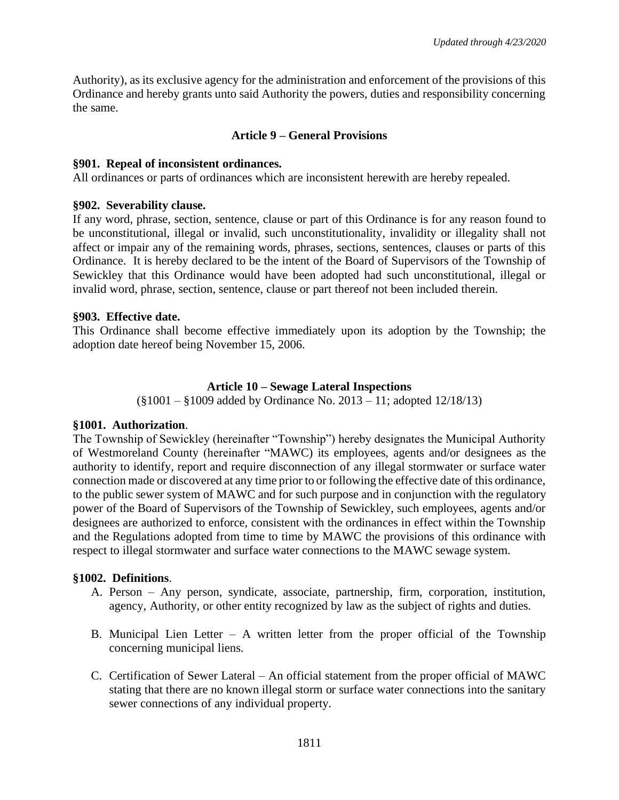Authority), as its exclusive agency for the administration and enforcement of the provisions of this Ordinance and hereby grants unto said Authority the powers, duties and responsibility concerning the same.

## **Article 9 – General Provisions**

### **§901. Repeal of inconsistent ordinances.**

All ordinances or parts of ordinances which are inconsistent herewith are hereby repealed.

### **§902. Severability clause.**

If any word, phrase, section, sentence, clause or part of this Ordinance is for any reason found to be unconstitutional, illegal or invalid, such unconstitutionality, invalidity or illegality shall not affect or impair any of the remaining words, phrases, sections, sentences, clauses or parts of this Ordinance. It is hereby declared to be the intent of the Board of Supervisors of the Township of Sewickley that this Ordinance would have been adopted had such unconstitutional, illegal or invalid word, phrase, section, sentence, clause or part thereof not been included therein.

## **§903. Effective date.**

This Ordinance shall become effective immediately upon its adoption by the Township; the adoption date hereof being November 15, 2006.

### **Article 10 – Sewage Lateral Inspections**

(§1001 – §1009 added by Ordinance No. 2013 – 11; adopted 12/18/13)

## **§1001. Authorization**.

The Township of Sewickley (hereinafter "Township") hereby designates the Municipal Authority of Westmoreland County (hereinafter "MAWC) its employees, agents and/or designees as the authority to identify, report and require disconnection of any illegal stormwater or surface water connection made or discovered at any time prior to or following the effective date of this ordinance, to the public sewer system of MAWC and for such purpose and in conjunction with the regulatory power of the Board of Supervisors of the Township of Sewickley, such employees, agents and/or designees are authorized to enforce, consistent with the ordinances in effect within the Township and the Regulations adopted from time to time by MAWC the provisions of this ordinance with respect to illegal stormwater and surface water connections to the MAWC sewage system.

## **§1002. Definitions**.

- A. Person Any person, syndicate, associate, partnership, firm, corporation, institution, agency, Authority, or other entity recognized by law as the subject of rights and duties.
- B. Municipal Lien Letter A written letter from the proper official of the Township concerning municipal liens.
- C. Certification of Sewer Lateral An official statement from the proper official of MAWC stating that there are no known illegal storm or surface water connections into the sanitary sewer connections of any individual property.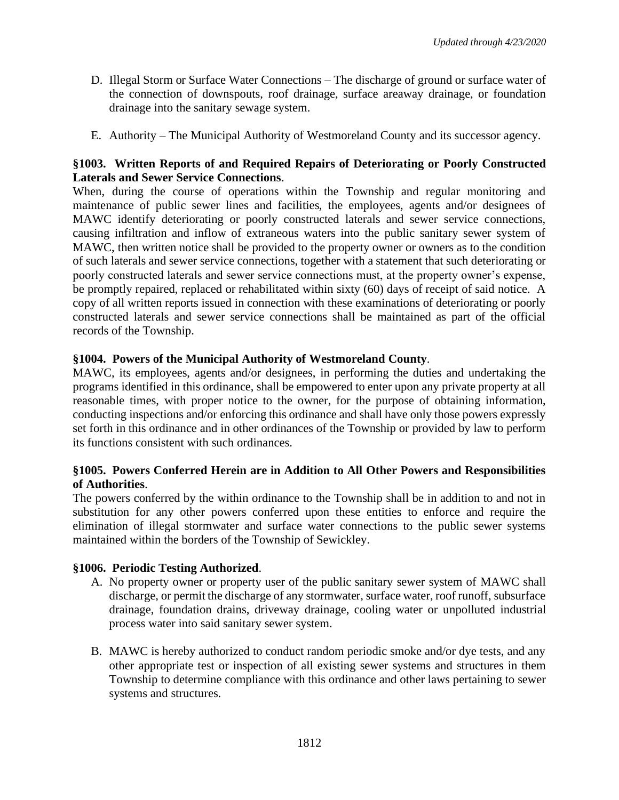- D. Illegal Storm or Surface Water Connections The discharge of ground or surface water of the connection of downspouts, roof drainage, surface areaway drainage, or foundation drainage into the sanitary sewage system.
- E. Authority The Municipal Authority of Westmoreland County and its successor agency.

## **§1003. Written Reports of and Required Repairs of Deteriorating or Poorly Constructed Laterals and Sewer Service Connections**.

When, during the course of operations within the Township and regular monitoring and maintenance of public sewer lines and facilities, the employees, agents and/or designees of MAWC identify deteriorating or poorly constructed laterals and sewer service connections, causing infiltration and inflow of extraneous waters into the public sanitary sewer system of MAWC, then written notice shall be provided to the property owner or owners as to the condition of such laterals and sewer service connections, together with a statement that such deteriorating or poorly constructed laterals and sewer service connections must, at the property owner's expense, be promptly repaired, replaced or rehabilitated within sixty (60) days of receipt of said notice. A copy of all written reports issued in connection with these examinations of deteriorating or poorly constructed laterals and sewer service connections shall be maintained as part of the official records of the Township.

## **§1004. Powers of the Municipal Authority of Westmoreland County**.

MAWC, its employees, agents and/or designees, in performing the duties and undertaking the programs identified in this ordinance, shall be empowered to enter upon any private property at all reasonable times, with proper notice to the owner, for the purpose of obtaining information, conducting inspections and/or enforcing this ordinance and shall have only those powers expressly set forth in this ordinance and in other ordinances of the Township or provided by law to perform its functions consistent with such ordinances.

## **§1005. Powers Conferred Herein are in Addition to All Other Powers and Responsibilities of Authorities**.

The powers conferred by the within ordinance to the Township shall be in addition to and not in substitution for any other powers conferred upon these entities to enforce and require the elimination of illegal stormwater and surface water connections to the public sewer systems maintained within the borders of the Township of Sewickley.

## **§1006. Periodic Testing Authorized**.

- A. No property owner or property user of the public sanitary sewer system of MAWC shall discharge, or permit the discharge of any stormwater, surface water, roof runoff, subsurface drainage, foundation drains, driveway drainage, cooling water or unpolluted industrial process water into said sanitary sewer system.
- B. MAWC is hereby authorized to conduct random periodic smoke and/or dye tests, and any other appropriate test or inspection of all existing sewer systems and structures in them Township to determine compliance with this ordinance and other laws pertaining to sewer systems and structures.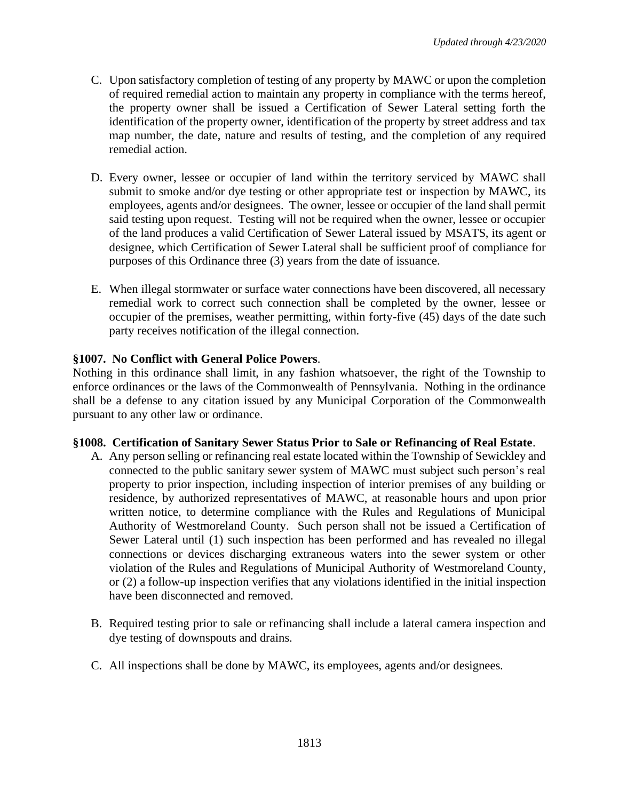- C. Upon satisfactory completion of testing of any property by MAWC or upon the completion of required remedial action to maintain any property in compliance with the terms hereof, the property owner shall be issued a Certification of Sewer Lateral setting forth the identification of the property owner, identification of the property by street address and tax map number, the date, nature and results of testing, and the completion of any required remedial action.
- D. Every owner, lessee or occupier of land within the territory serviced by MAWC shall submit to smoke and/or dye testing or other appropriate test or inspection by MAWC, its employees, agents and/or designees. The owner, lessee or occupier of the land shall permit said testing upon request. Testing will not be required when the owner, lessee or occupier of the land produces a valid Certification of Sewer Lateral issued by MSATS, its agent or designee, which Certification of Sewer Lateral shall be sufficient proof of compliance for purposes of this Ordinance three (3) years from the date of issuance.
- E. When illegal stormwater or surface water connections have been discovered, all necessary remedial work to correct such connection shall be completed by the owner, lessee or occupier of the premises, weather permitting, within forty-five (45) days of the date such party receives notification of the illegal connection.

## **§1007. No Conflict with General Police Powers**.

Nothing in this ordinance shall limit, in any fashion whatsoever, the right of the Township to enforce ordinances or the laws of the Commonwealth of Pennsylvania. Nothing in the ordinance shall be a defense to any citation issued by any Municipal Corporation of the Commonwealth pursuant to any other law or ordinance.

## **§1008. Certification of Sanitary Sewer Status Prior to Sale or Refinancing of Real Estate**.

- A. Any person selling or refinancing real estate located within the Township of Sewickley and connected to the public sanitary sewer system of MAWC must subject such person's real property to prior inspection, including inspection of interior premises of any building or residence, by authorized representatives of MAWC, at reasonable hours and upon prior written notice, to determine compliance with the Rules and Regulations of Municipal Authority of Westmoreland County. Such person shall not be issued a Certification of Sewer Lateral until (1) such inspection has been performed and has revealed no illegal connections or devices discharging extraneous waters into the sewer system or other violation of the Rules and Regulations of Municipal Authority of Westmoreland County, or (2) a follow-up inspection verifies that any violations identified in the initial inspection have been disconnected and removed.
- B. Required testing prior to sale or refinancing shall include a lateral camera inspection and dye testing of downspouts and drains.
- C. All inspections shall be done by MAWC, its employees, agents and/or designees.